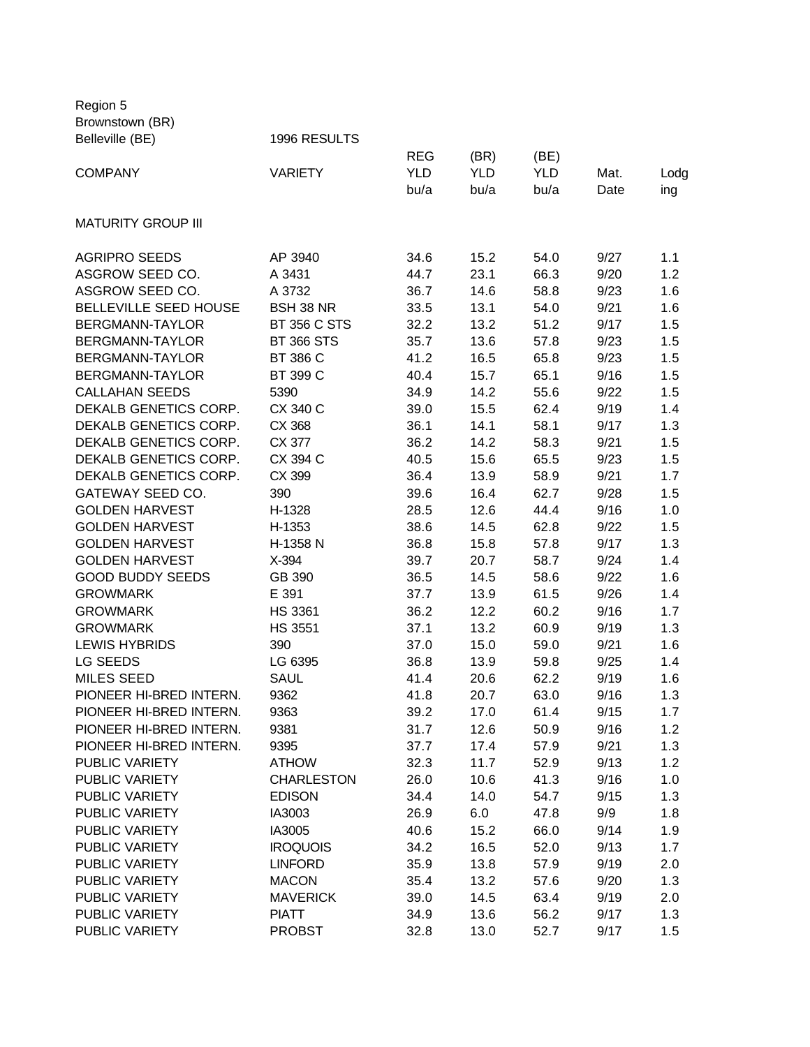Region 5 Brownstown (BR)<br>Belleville (BE)

| Belleville (BE)           | 1996 RESULTS        |            |            |            |      |      |
|---------------------------|---------------------|------------|------------|------------|------|------|
|                           |                     | <b>REG</b> | (BR)       | (BE)       |      |      |
| <b>COMPANY</b>            | <b>VARIETY</b>      | <b>YLD</b> | <b>YLD</b> | <b>YLD</b> | Mat. | Lodg |
|                           |                     | bu/a       | bu/a       | bu/a       | Date | ing  |
| <b>MATURITY GROUP III</b> |                     |            |            |            |      |      |
|                           |                     |            |            |            |      |      |
| <b>AGRIPRO SEEDS</b>      | AP 3940             | 34.6       | 15.2       | 54.0       | 9/27 | 1.1  |
| ASGROW SEED CO.           | A 3431              | 44.7       | 23.1       | 66.3       | 9/20 | 1.2  |
| ASGROW SEED CO.           | A 3732              | 36.7       | 14.6       | 58.8       | 9/23 | 1.6  |
| BELLEVILLE SEED HOUSE     | BSH 38 NR           | 33.5       | 13.1       | 54.0       | 9/21 | 1.6  |
| BERGMANN-TAYLOR           | <b>BT 356 C STS</b> | 32.2       | 13.2       | 51.2       | 9/17 | 1.5  |
| BERGMANN-TAYLOR           | <b>BT 366 STS</b>   | 35.7       | 13.6       | 57.8       | 9/23 | 1.5  |
| BERGMANN-TAYLOR           | BT 386 C            | 41.2       | 16.5       | 65.8       | 9/23 | 1.5  |
| BERGMANN-TAYLOR           | BT 399 C            | 40.4       | 15.7       | 65.1       | 9/16 | 1.5  |
| <b>CALLAHAN SEEDS</b>     | 5390                | 34.9       | 14.2       | 55.6       | 9/22 | 1.5  |
| DEKALB GENETICS CORP.     | CX 340 C            | 39.0       | 15.5       | 62.4       | 9/19 | 1.4  |
| DEKALB GENETICS CORP.     | CX 368              | 36.1       | 14.1       | 58.1       | 9/17 | 1.3  |
| DEKALB GENETICS CORP.     | CX 377              | 36.2       | 14.2       | 58.3       | 9/21 | 1.5  |
| DEKALB GENETICS CORP.     | CX 394 C            | 40.5       | 15.6       | 65.5       | 9/23 | 1.5  |
| DEKALB GENETICS CORP.     | CX 399              | 36.4       | 13.9       | 58.9       | 9/21 | 1.7  |
| GATEWAY SEED CO.          | 390                 | 39.6       | 16.4       | 62.7       | 9/28 | 1.5  |
| <b>GOLDEN HARVEST</b>     | H-1328              | 28.5       | 12.6       | 44.4       | 9/16 | 1.0  |
| <b>GOLDEN HARVEST</b>     | H-1353              | 38.6       | 14.5       | 62.8       | 9/22 | 1.5  |
| <b>GOLDEN HARVEST</b>     | H-1358 N            | 36.8       | 15.8       | 57.8       | 9/17 | 1.3  |
| <b>GOLDEN HARVEST</b>     | X-394               | 39.7       | 20.7       | 58.7       | 9/24 | 1.4  |
| <b>GOOD BUDDY SEEDS</b>   | GB 390              | 36.5       | 14.5       | 58.6       | 9/22 | 1.6  |
| <b>GROWMARK</b>           | E 391               | 37.7       | 13.9       | 61.5       | 9/26 | 1.4  |
| <b>GROWMARK</b>           | <b>HS 3361</b>      | 36.2       | 12.2       | 60.2       | 9/16 | 1.7  |
| <b>GROWMARK</b>           | <b>HS 3551</b>      | 37.1       | 13.2       | 60.9       | 9/19 | 1.3  |
| <b>LEWIS HYBRIDS</b>      | 390                 | 37.0       | 15.0       | 59.0       | 9/21 | 1.6  |
| LG SEEDS                  | LG 6395             | 36.8       | 13.9       | 59.8       | 9/25 | 1.4  |
| <b>MILES SEED</b>         | <b>SAUL</b>         |            |            |            |      |      |
| PIONEER HI-BRED INTERN.   |                     | 41.4       | 20.6       | 62.2       | 9/19 | 1.6  |
|                           | 9362                | 41.8       | 20.7       | 63.0       | 9/16 | 1.3  |
| PIONEER HI-BRED INTERN.   | 9363                | 39.2       | 17.0       | 61.4       | 9/15 | 1.7  |
| PIONEER HI-BRED INTERN.   | 9381                | 31.7       | 12.6       | 50.9       | 9/16 | 1.2  |
| PIONEER HI-BRED INTERN.   | 9395                | 37.7       | 17.4       | 57.9       | 9/21 | 1.3  |
| PUBLIC VARIETY            | <b>ATHOW</b>        | 32.3       | 11.7       | 52.9       | 9/13 | 1.2  |
| PUBLIC VARIETY            | <b>CHARLESTON</b>   | 26.0       | 10.6       | 41.3       | 9/16 | 1.0  |
| <b>PUBLIC VARIETY</b>     | <b>EDISON</b>       | 34.4       | 14.0       | 54.7       | 9/15 | 1.3  |
| <b>PUBLIC VARIETY</b>     | IA3003              | 26.9       | 6.0        | 47.8       | 9/9  | 1.8  |
| <b>PUBLIC VARIETY</b>     | IA3005              | 40.6       | 15.2       | 66.0       | 9/14 | 1.9  |
| PUBLIC VARIETY            | <b>IROQUOIS</b>     | 34.2       | 16.5       | 52.0       | 9/13 | 1.7  |
| PUBLIC VARIETY            | <b>LINFORD</b>      | 35.9       | 13.8       | 57.9       | 9/19 | 2.0  |
| PUBLIC VARIETY            | <b>MACON</b>        | 35.4       | 13.2       | 57.6       | 9/20 | 1.3  |
| PUBLIC VARIETY            | <b>MAVERICK</b>     | 39.0       | 14.5       | 63.4       | 9/19 | 2.0  |
| PUBLIC VARIETY            | <b>PIATT</b>        | 34.9       | 13.6       | 56.2       | 9/17 | 1.3  |
| PUBLIC VARIETY            | <b>PROBST</b>       | 32.8       | 13.0       | 52.7       | 9/17 | 1.5  |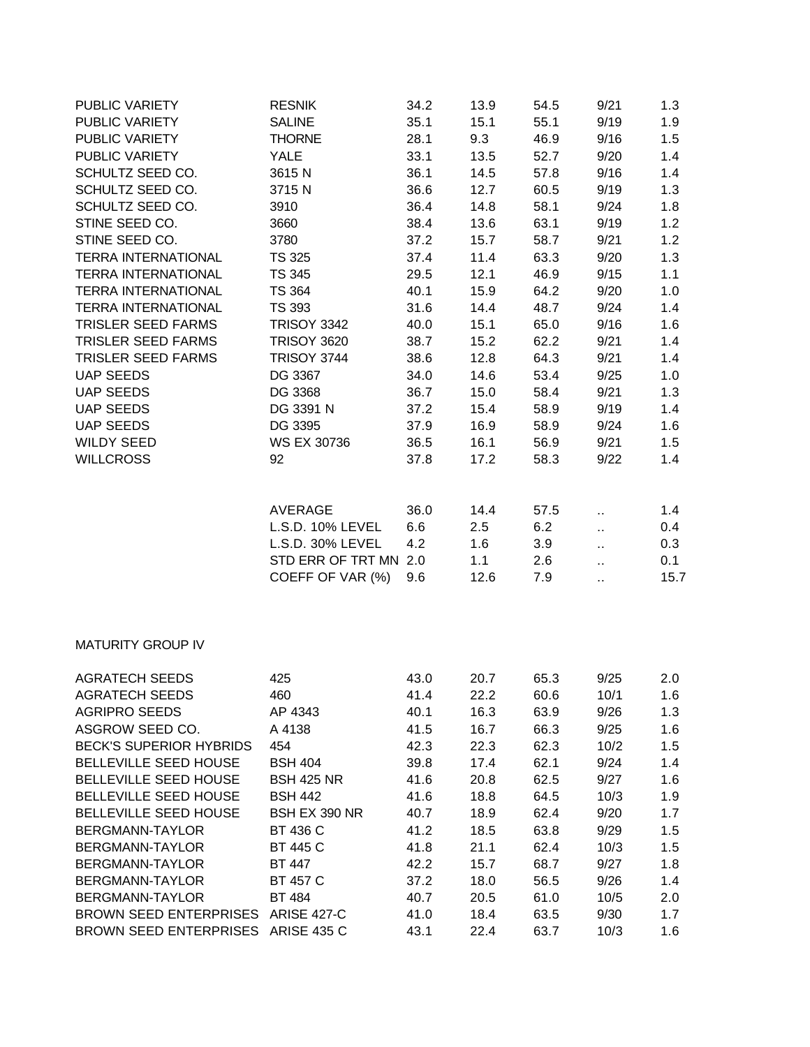| PUBLIC VARIETY             | <b>RESNIK</b>         | 34.2 | 13.9 | 54.5 | 9/21                 | 1.3  |
|----------------------------|-----------------------|------|------|------|----------------------|------|
| PUBLIC VARIETY             | <b>SALINE</b>         | 35.1 | 15.1 | 55.1 | 9/19                 | 1.9  |
| PUBLIC VARIETY             | <b>THORNE</b>         | 28.1 | 9.3  | 46.9 | 9/16                 | 1.5  |
| PUBLIC VARIETY             | <b>YALE</b>           | 33.1 | 13.5 | 52.7 | 9/20                 | 1.4  |
| SCHULTZ SEED CO.           | 3615N                 | 36.1 | 14.5 | 57.8 | 9/16                 | 1.4  |
| SCHULTZ SEED CO.           | 3715N                 | 36.6 | 12.7 | 60.5 | 9/19                 | 1.3  |
| SCHULTZ SEED CO.           | 3910                  | 36.4 | 14.8 | 58.1 | 9/24                 | 1.8  |
| STINE SEED CO.             | 3660                  | 38.4 | 13.6 | 63.1 | 9/19                 | 1.2  |
| STINE SEED CO.             | 3780                  | 37.2 | 15.7 | 58.7 | 9/21                 | 1.2  |
| <b>TERRA INTERNATIONAL</b> | <b>TS 325</b>         | 37.4 | 11.4 | 63.3 | 9/20                 | 1.3  |
| <b>TERRA INTERNATIONAL</b> | TS 345                | 29.5 | 12.1 | 46.9 | 9/15                 | 1.1  |
| <b>TERRA INTERNATIONAL</b> | <b>TS 364</b>         | 40.1 | 15.9 | 64.2 | 9/20                 | 1.0  |
| <b>TERRA INTERNATIONAL</b> | <b>TS 393</b>         | 31.6 | 14.4 | 48.7 | 9/24                 | 1.4  |
| <b>TRISLER SEED FARMS</b>  | <b>TRISOY 3342</b>    | 40.0 | 15.1 | 65.0 | 9/16                 | 1.6  |
| <b>TRISLER SEED FARMS</b>  | <b>TRISOY 3620</b>    | 38.7 | 15.2 | 62.2 | 9/21                 | 1.4  |
| <b>TRISLER SEED FARMS</b>  | <b>TRISOY 3744</b>    | 38.6 | 12.8 | 64.3 | 9/21                 | 1.4  |
| <b>UAP SEEDS</b>           | DG 3367               | 34.0 | 14.6 | 53.4 | 9/25                 | 1.0  |
| <b>UAP SEEDS</b>           | DG 3368               | 36.7 | 15.0 | 58.4 | 9/21                 | 1.3  |
| <b>UAP SEEDS</b>           | DG 3391 N             | 37.2 | 15.4 | 58.9 | 9/19                 | 1.4  |
| <b>UAP SEEDS</b>           | DG 3395               | 37.9 | 16.9 | 58.9 | 9/24                 | 1.6  |
| <b>WILDY SEED</b>          | <b>WS EX 30736</b>    | 36.5 | 16.1 | 56.9 | 9/21                 | 1.5  |
| <b>WILLCROSS</b>           | 92                    | 37.8 | 17.2 | 58.3 | 9/22                 | 1.4  |
|                            | AVERAGE               | 36.0 | 14.4 | 57.5 | $\bar{\mathbf{r}}$ . | 1.4  |
|                            | L.S.D. 10% LEVEL      | 6.6  | 2.5  | 6.2  | ä.                   | 0.4  |
|                            | L.S.D. 30% LEVEL      | 4.2  | 1.6  | 3.9  | ä.                   | 0.3  |
|                            | STD ERR OF TRT MN 2.0 |      | 1.1  | 2.6  | ò.                   | 0.1  |
|                            | COEFF OF VAR (%)      | 9.6  | 12.6 | 7.9  | ä,                   | 15.7 |
|                            |                       |      |      |      |                      |      |
| <b>MATURITY GROUP IV</b>   |                       |      |      |      |                      |      |

| <b>AGRATECH SEEDS</b>          | 425                | 43.0 | 20.7 | 65.3 | 9/25 | 2.0 |
|--------------------------------|--------------------|------|------|------|------|-----|
| <b>AGRATECH SEEDS</b>          | 460                | 41.4 | 22.2 | 60.6 | 10/1 | 1.6 |
| AGRIPRO SEEDS                  | AP 4343            | 40.1 | 16.3 | 63.9 | 9/26 | 1.3 |
| ASGROW SEED CO.                | A 4138             | 41.5 | 16.7 | 66.3 | 9/25 | 1.6 |
| <b>BECK'S SUPERIOR HYBRIDS</b> | 454                | 42.3 | 22.3 | 62.3 | 10/2 | 1.5 |
| <b>BELLEVILLE SEED HOUSE</b>   | <b>BSH 404</b>     | 39.8 | 17.4 | 62.1 | 9/24 | 1.4 |
| <b>BELLEVILLE SEED HOUSE</b>   | <b>BSH 425 NR</b>  | 41.6 | 20.8 | 62.5 | 9/27 | 1.6 |
| <b>BELLEVILLE SEED HOUSE</b>   | <b>BSH 442</b>     | 41.6 | 18.8 | 64.5 | 10/3 | 1.9 |
| <b>BELLEVILLE SEED HOUSE</b>   | BSH EX 390 NR      | 40.7 | 18.9 | 62.4 | 9/20 | 1.7 |
| BERGMANN-TAYLOR                | BT 436 C           | 41.2 | 18.5 | 63.8 | 9/29 | 1.5 |
| BERGMANN-TAYLOR                | <b>BT 445 C</b>    | 41.8 | 21.1 | 62.4 | 10/3 | 1.5 |
| BERGMANN-TAYLOR                | BT 447             | 42.2 | 15.7 | 68.7 | 9/27 | 1.8 |
| BERGMANN-TAYLOR                | <b>BT 457 C</b>    | 37.2 | 18.0 | 56.5 | 9/26 | 1.4 |
| BERGMANN-TAYLOR                | <b>BT 484</b>      | 40.7 | 20.5 | 61.0 | 10/5 | 2.0 |
| <b>BROWN SEED ENTERPRISES</b>  | <b>ARISE 427-C</b> | 41.0 | 18.4 | 63.5 | 9/30 | 1.7 |
| <b>BROWN SEED ENTERPRISES</b>  | <b>ARISE 435 C</b> | 43.1 | 22.4 | 63.7 | 10/3 | 1.6 |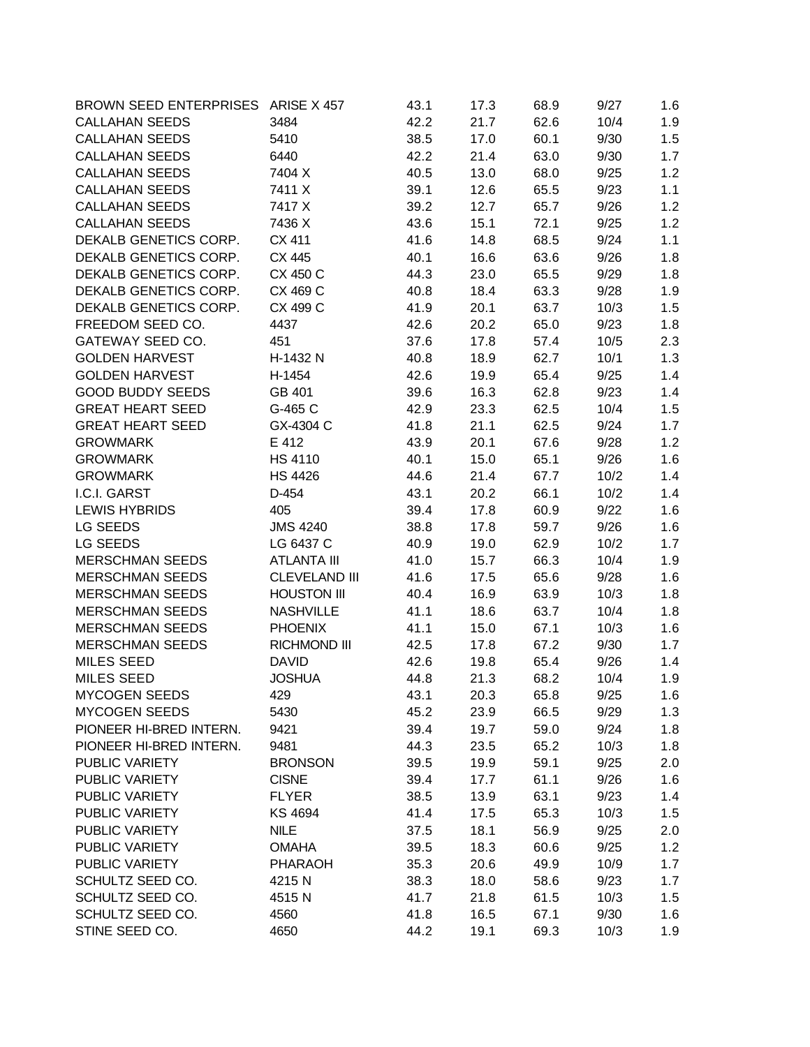| BROWN SEED ENTERPRISES ARISE X 457 |                      | 43.1 | 17.3 | 68.9 | 9/27 | 1.6 |
|------------------------------------|----------------------|------|------|------|------|-----|
| <b>CALLAHAN SEEDS</b>              | 3484                 | 42.2 | 21.7 | 62.6 | 10/4 | 1.9 |
| <b>CALLAHAN SEEDS</b>              | 5410                 | 38.5 | 17.0 | 60.1 | 9/30 | 1.5 |
| <b>CALLAHAN SEEDS</b>              | 6440                 | 42.2 | 21.4 | 63.0 | 9/30 | 1.7 |
| <b>CALLAHAN SEEDS</b>              | 7404 X               | 40.5 | 13.0 | 68.0 | 9/25 | 1.2 |
| <b>CALLAHAN SEEDS</b>              | 7411 X               | 39.1 | 12.6 | 65.5 | 9/23 | 1.1 |
| <b>CALLAHAN SEEDS</b>              | 7417 X               | 39.2 | 12.7 | 65.7 | 9/26 | 1.2 |
| <b>CALLAHAN SEEDS</b>              | 7436 X               | 43.6 | 15.1 | 72.1 | 9/25 | 1.2 |
| DEKALB GENETICS CORP.              | CX 411               | 41.6 | 14.8 | 68.5 | 9/24 | 1.1 |
| DEKALB GENETICS CORP.              | CX 445               | 40.1 | 16.6 | 63.6 | 9/26 | 1.8 |
| DEKALB GENETICS CORP.              | CX 450 C             | 44.3 | 23.0 | 65.5 | 9/29 | 1.8 |
| DEKALB GENETICS CORP.              | CX 469 C             | 40.8 | 18.4 | 63.3 | 9/28 | 1.9 |
| DEKALB GENETICS CORP.              | CX 499 C             | 41.9 | 20.1 | 63.7 | 10/3 | 1.5 |
| FREEDOM SEED CO.                   | 4437                 | 42.6 | 20.2 | 65.0 | 9/23 | 1.8 |
| GATEWAY SEED CO.                   | 451                  | 37.6 | 17.8 | 57.4 | 10/5 | 2.3 |
| <b>GOLDEN HARVEST</b>              | H-1432 N             | 40.8 | 18.9 | 62.7 | 10/1 | 1.3 |
| <b>GOLDEN HARVEST</b>              | H-1454               | 42.6 | 19.9 | 65.4 | 9/25 | 1.4 |
| <b>GOOD BUDDY SEEDS</b>            | GB 401               | 39.6 | 16.3 | 62.8 | 9/23 | 1.4 |
| <b>GREAT HEART SEED</b>            | G-465 C              | 42.9 | 23.3 | 62.5 | 10/4 | 1.5 |
| <b>GREAT HEART SEED</b>            | GX-4304 C            | 41.8 | 21.1 | 62.5 | 9/24 | 1.7 |
| <b>GROWMARK</b>                    | E 412                | 43.9 | 20.1 | 67.6 | 9/28 | 1.2 |
| <b>GROWMARK</b>                    | <b>HS 4110</b>       | 40.1 | 15.0 | 65.1 | 9/26 | 1.6 |
| <b>GROWMARK</b>                    | <b>HS 4426</b>       | 44.6 | 21.4 | 67.7 | 10/2 | 1.4 |
| I.C.I. GARST                       | D-454                | 43.1 | 20.2 | 66.1 | 10/2 | 1.4 |
| <b>LEWIS HYBRIDS</b>               | 405                  | 39.4 | 17.8 | 60.9 | 9/22 | 1.6 |
| LG SEEDS                           | <b>JMS 4240</b>      | 38.8 | 17.8 | 59.7 | 9/26 | 1.6 |
| LG SEEDS                           | LG 6437 C            | 40.9 | 19.0 | 62.9 | 10/2 | 1.7 |
| <b>MERSCHMAN SEEDS</b>             | <b>ATLANTA III</b>   | 41.0 | 15.7 | 66.3 | 10/4 | 1.9 |
| <b>MERSCHMAN SEEDS</b>             | <b>CLEVELAND III</b> | 41.6 | 17.5 | 65.6 | 9/28 | 1.6 |
| <b>MERSCHMAN SEEDS</b>             | <b>HOUSTON III</b>   | 40.4 | 16.9 | 63.9 | 10/3 | 1.8 |
| <b>MERSCHMAN SEEDS</b>             | <b>NASHVILLE</b>     | 41.1 | 18.6 | 63.7 | 10/4 | 1.8 |
| <b>MERSCHMAN SEEDS</b>             | <b>PHOENIX</b>       | 41.1 | 15.0 | 67.1 | 10/3 | 1.6 |
| <b>MERSCHMAN SEEDS</b>             | <b>RICHMOND III</b>  | 42.5 | 17.8 | 67.2 | 9/30 | 1.7 |
| <b>MILES SEED</b>                  | <b>DAVID</b>         | 42.6 | 19.8 | 65.4 | 9/26 | 1.4 |
| <b>MILES SEED</b>                  | <b>JOSHUA</b>        | 44.8 | 21.3 | 68.2 | 10/4 | 1.9 |
| <b>MYCOGEN SEEDS</b>               | 429                  | 43.1 | 20.3 | 65.8 | 9/25 | 1.6 |
| <b>MYCOGEN SEEDS</b>               | 5430                 | 45.2 | 23.9 | 66.5 | 9/29 | 1.3 |
| PIONEER HI-BRED INTERN.            | 9421                 | 39.4 | 19.7 | 59.0 | 9/24 | 1.8 |
| PIONEER HI-BRED INTERN.            | 9481                 | 44.3 | 23.5 | 65.2 | 10/3 | 1.8 |
| PUBLIC VARIETY                     | <b>BRONSON</b>       | 39.5 | 19.9 | 59.1 | 9/25 | 2.0 |
| PUBLIC VARIETY                     | <b>CISNE</b>         | 39.4 | 17.7 | 61.1 | 9/26 | 1.6 |
| PUBLIC VARIETY                     | <b>FLYER</b>         | 38.5 | 13.9 | 63.1 | 9/23 | 1.4 |
| PUBLIC VARIETY                     | KS 4694              | 41.4 | 17.5 | 65.3 | 10/3 | 1.5 |
| PUBLIC VARIETY                     | <b>NILE</b>          | 37.5 | 18.1 | 56.9 | 9/25 | 2.0 |
| PUBLIC VARIETY                     | <b>OMAHA</b>         | 39.5 | 18.3 | 60.6 | 9/25 | 1.2 |
| PUBLIC VARIETY                     | <b>PHARAOH</b>       | 35.3 | 20.6 | 49.9 | 10/9 | 1.7 |
| SCHULTZ SEED CO.                   | 4215N                | 38.3 | 18.0 | 58.6 | 9/23 | 1.7 |
| SCHULTZ SEED CO.                   | 4515N                | 41.7 | 21.8 | 61.5 | 10/3 | 1.5 |
| SCHULTZ SEED CO.                   | 4560                 | 41.8 | 16.5 | 67.1 | 9/30 | 1.6 |
| STINE SEED CO.                     | 4650                 | 44.2 | 19.1 | 69.3 | 10/3 | 1.9 |
|                                    |                      |      |      |      |      |     |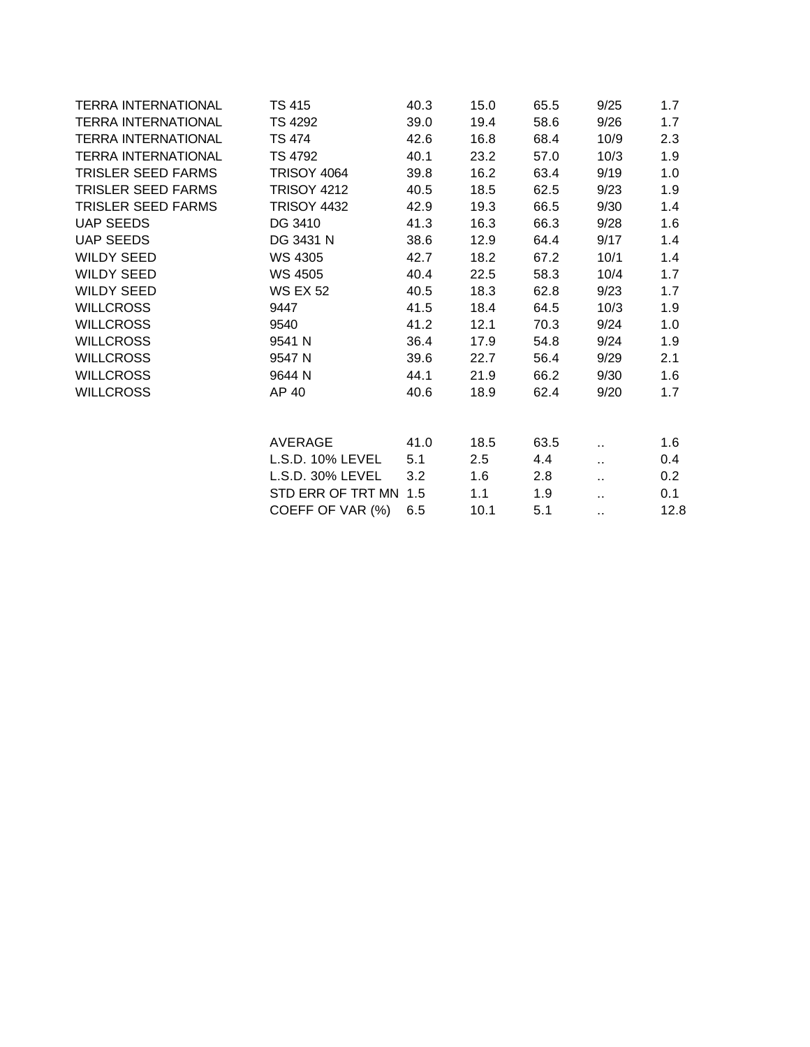| <b>TERRA INTERNATIONAL</b> | TS 415                | 40.3 | 15.0 | 65.5 | 9/25 | 1.7  |
|----------------------------|-----------------------|------|------|------|------|------|
| <b>TERRA INTERNATIONAL</b> | TS 4292               | 39.0 | 19.4 | 58.6 | 9/26 | 1.7  |
| <b>TERRA INTERNATIONAL</b> | <b>TS 474</b>         | 42.6 | 16.8 | 68.4 | 10/9 | 2.3  |
| <b>TERRA INTERNATIONAL</b> | TS 4792               | 40.1 | 23.2 | 57.0 | 10/3 | 1.9  |
| TRISLER SEED FARMS         | <b>TRISOY 4064</b>    | 39.8 | 16.2 | 63.4 | 9/19 | 1.0  |
| <b>TRISLER SEED FARMS</b>  | <b>TRISOY 4212</b>    | 40.5 | 18.5 | 62.5 | 9/23 | 1.9  |
| <b>TRISLER SEED FARMS</b>  | <b>TRISOY 4432</b>    | 42.9 | 19.3 | 66.5 | 9/30 | 1.4  |
| <b>UAP SEEDS</b>           | DG 3410               | 41.3 | 16.3 | 66.3 | 9/28 | 1.6  |
| UAP SEEDS                  | DG 3431 N             | 38.6 | 12.9 | 64.4 | 9/17 | 1.4  |
| WILDY SEED                 | WS 4305               | 42.7 | 18.2 | 67.2 | 10/1 | 1.4  |
| WILDY SEED                 | WS 4505               | 40.4 | 22.5 | 58.3 | 10/4 | 1.7  |
| WILDY SEED                 | <b>WS EX 52</b>       | 40.5 | 18.3 | 62.8 | 9/23 | 1.7  |
| <b>WILLCROSS</b>           | 9447                  | 41.5 | 18.4 | 64.5 | 10/3 | 1.9  |
| <b>WILLCROSS</b>           | 9540                  | 41.2 | 12.1 | 70.3 | 9/24 | 1.0  |
| <b>WILLCROSS</b>           | 9541 N                | 36.4 | 17.9 | 54.8 | 9/24 | 1.9  |
| <b>WILLCROSS</b>           | 9547 N                | 39.6 | 22.7 | 56.4 | 9/29 | 2.1  |
| <b>WILLCROSS</b>           | 9644 N                | 44.1 | 21.9 | 66.2 | 9/30 | 1.6  |
| <b>WILLCROSS</b>           | AP 40                 | 40.6 | 18.9 | 62.4 | 9/20 | 1.7  |
|                            | AVERAGE               | 41.0 | 18.5 | 63.5 | н.   | 1.6  |
|                            | L.S.D. 10% LEVEL      | 5.1  | 2.5  | 4.4  | v.   | 0.4  |
|                            | L.S.D. 30% LEVEL      | 3.2  | 1.6  | 2.8  | v.   | 0.2  |
|                            | STD ERR OF TRT MN 1.5 |      | 1.1  | 1.9  | à.   | 0.1  |
|                            | COEFF OF VAR (%)      | 6.5  | 10.1 | 5.1  | н.   | 12.8 |
|                            |                       |      |      |      |      |      |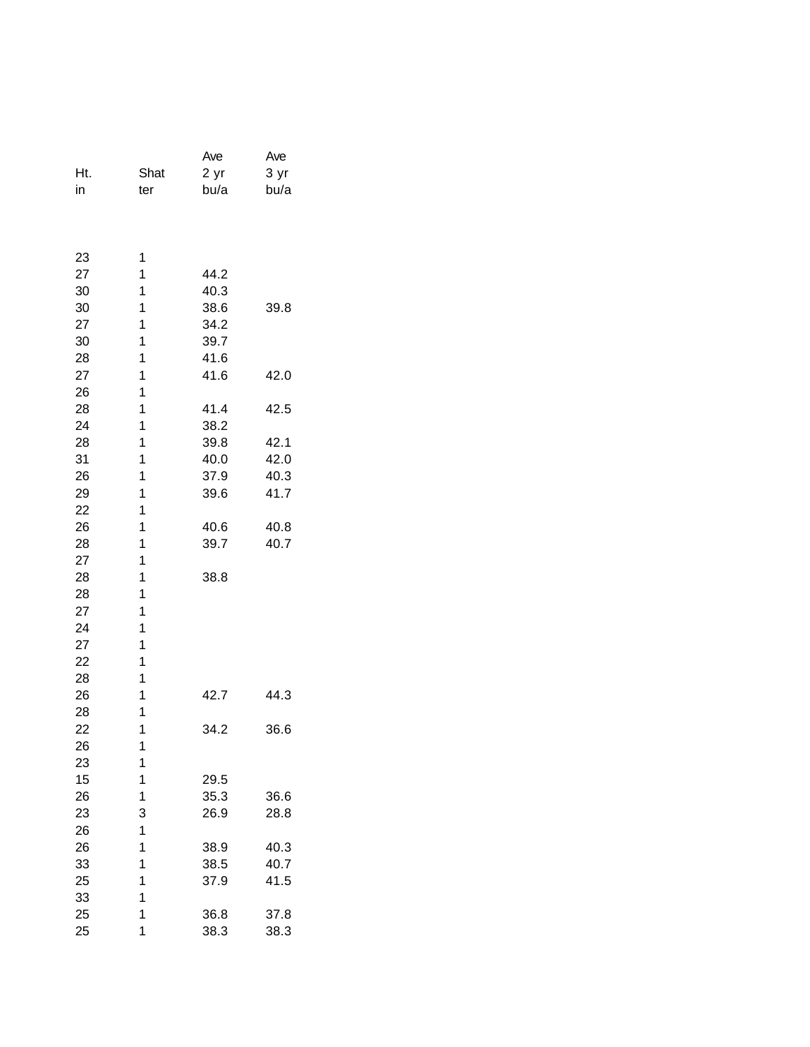|     |              | Ave  | Ave  |
|-----|--------------|------|------|
| Ht. | Shat         | 2 yr | 3 yr |
| in  | ter          | bu/a | bu/a |
|     |              |      |      |
|     |              |      |      |
| 23  | 1            |      |      |
| 27  | 1            | 44.2 |      |
| 30  | 1            | 40.3 |      |
| 30  | 1            | 38.6 | 39.8 |
| 27  | 1            | 34.2 |      |
| 30  | 1            | 39.7 |      |
| 28  | 1            | 41.6 |      |
| 27  | 1            | 41.6 | 42.0 |
| 26  | 1            |      |      |
| 28  | 1            | 41.4 | 42.5 |
| 24  | 1            | 38.2 |      |
| 28  | 1            | 39.8 | 42.1 |
| 31  | 1            | 40.0 | 42.0 |
| 26  | 1            | 37.9 | 40.3 |
| 29  | 1            | 39.6 | 41.7 |
| 22  | 1            |      |      |
| 26  | 1            | 40.6 | 40.8 |
| 28  | 1            | 39.7 | 40.7 |
| 27  | 1            |      |      |
| 28  | 1            | 38.8 |      |
| 28  | 1            |      |      |
| 27  | 1            |      |      |
| 24  | 1            |      |      |
| 27  | 1            |      |      |
| 22  | 1            |      |      |
| 28  | 1            |      |      |
| 26  | 1            | 42.7 | 44.3 |
| 28  | 1            |      |      |
| 22  | 1            | 34.2 | 36.6 |
| 26  | 1            |      |      |
| 23  | 1            |      |      |
| 15  | 1            | 29.5 |      |
| 26  | 1            | 35.3 | 36.6 |
| 23  | 3            | 26.9 | 28.8 |
| 26  | 1            |      |      |
| 26  | 1            | 38.9 | 40.3 |
| 33  | 1            | 38.5 | 40.7 |
| 25  | $\mathbf{1}$ | 37.9 | 41.5 |
| 33  | 1            |      |      |
| 25  | 1            | 36.8 | 37.8 |
| 25  | 1            | 38.3 | 38.3 |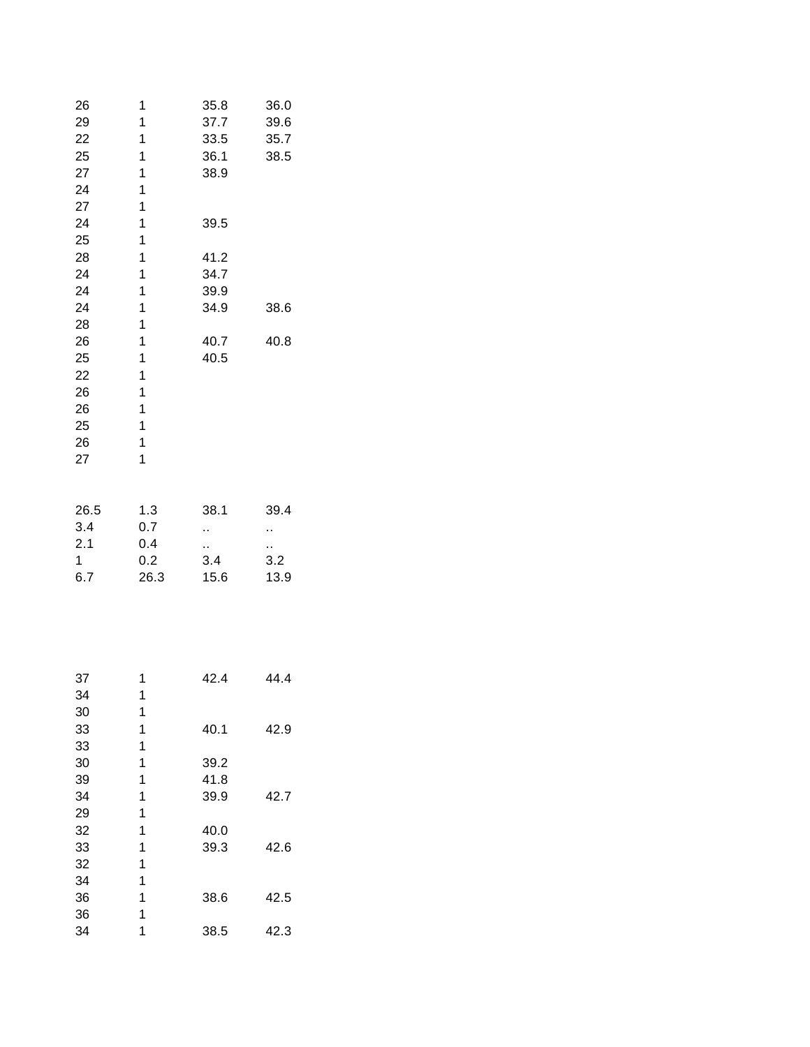| 26           | 1            | 35.8        | 36.0 |
|--------------|--------------|-------------|------|
| 29           | 1            | 37.7        | 39.6 |
| 22           | 1            | 33.5        | 35.7 |
| 25           | 1            | 36.1        | 38.5 |
| 27           | 1            | 38.9        |      |
| 24           | 1            |             |      |
| 27           | 1            |             |      |
| 24           | 1            | 39.5        |      |
| 25           | 1            |             |      |
| 28           | $\mathbf{1}$ | 41.2        |      |
| 24           | 1            | 34.7        |      |
| 24           | 1            | 39.9        |      |
| 24           | 1            | 34.9        | 38.6 |
| 28           | 1            |             |      |
| 26           | 1            | 40.7        | 40.8 |
| 25           | 1            | 40.5        |      |
| 22           | $\mathbf{1}$ |             |      |
| 26           | $\mathbf{1}$ |             |      |
| 26           | $\mathbf{1}$ |             |      |
| 25           | 1            |             |      |
| 26           | 1            |             |      |
| 27           | 1            |             |      |
|              |              |             |      |
| 26.5         | 1.3          | 38.1        | 39.4 |
| 3.4          | 0.7          | ò,          | ٠,   |
| 2.1          | 0.4          |             | .,   |
| $\mathbf{1}$ | 0.2          | 3.4         | 3.2  |
| 6.7          | 26.3         | 15.6        | 13.9 |
|              |              |             |      |
|              |              |             |      |
|              |              |             |      |
|              |              |             |      |
| 37           | 1            | 42.4        | 44.4 |
| 34           | 1            |             |      |
| 30           | 1            |             |      |
| 33           | 1            | 40.1        | 42.9 |
| 33           | 1            |             |      |
| 30           | 1            | 39.2        |      |
| 39           | 1            | 41.8        |      |
| 21           | 1            | <b>20 0</b> |      |

| ◡  |   |      |      |
|----|---|------|------|
| 33 | 1 | 40.1 | 42.9 |
| 33 | 1 |      |      |
| 30 | 1 | 39.2 |      |
| 39 | 1 | 41.8 |      |
| 34 | 1 | 39.9 | 42.7 |
| 29 | 1 |      |      |
| 32 | 1 | 40.0 |      |
| 33 | 1 | 39.3 | 42.6 |
| 32 | 1 |      |      |
| 34 | 1 |      |      |
| 36 | 1 | 38.6 | 42.5 |
| 36 | 1 |      |      |
| 34 | 1 | 38.5 | 42.3 |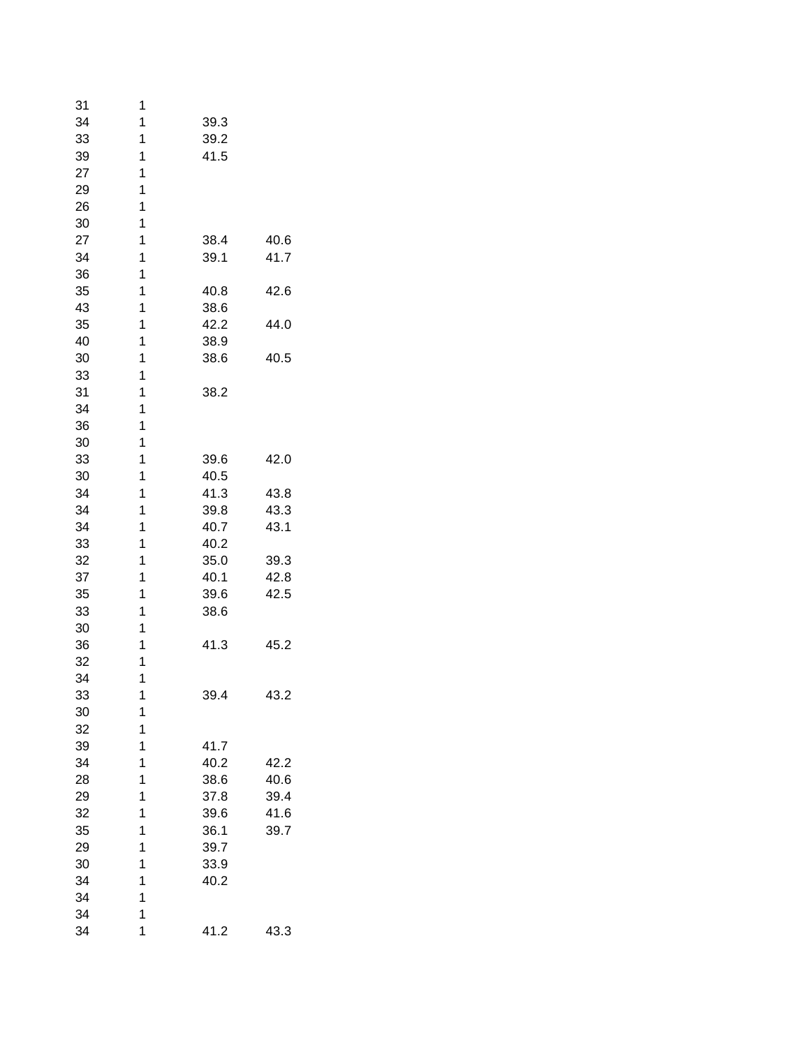| 31       | 1      |      |      |
|----------|--------|------|------|
| 34       | 1      | 39.3 |      |
| 33       | 1      | 39.2 |      |
| 39       | 1      | 41.5 |      |
| 27       | 1      |      |      |
| 29       | 1      |      |      |
| 26       | 1      |      |      |
| 30       | 1      |      |      |
| 27       | 1      | 38.4 | 40.6 |
| 34       | 1      | 39.1 | 41.7 |
| 36       | 1      |      |      |
| 35       | 1      | 40.8 | 42.6 |
| 43       | 1      | 38.6 |      |
| 35       | 1      | 42.2 | 44.0 |
| 40       | 1      | 38.9 |      |
| 30       | 1      | 38.6 | 40.5 |
| 33       | 1      |      |      |
| 31       | 1      | 38.2 |      |
| 34       | 1      |      |      |
| 36       | 1      |      |      |
| 30       | 1      |      |      |
| 33       | 1      | 39.6 | 42.0 |
| 30       | 1      | 40.5 |      |
| 34       | 1      | 41.3 | 43.8 |
| 34       | 1      | 39.8 | 43.3 |
| 34       | 1      | 40.7 | 43.1 |
| 33       | 1      | 40.2 |      |
| 32       | 1      | 35.0 | 39.3 |
| 37       | 1      | 40.1 | 42.8 |
| 35       | 1      | 39.6 | 42.5 |
| 33       | 1      | 38.6 |      |
| 30       | 1      |      |      |
| 36       | 1      | 41.3 | 45.2 |
| 32       | 1      |      |      |
| 34       | 1      |      |      |
|          | 1      |      | 43.2 |
| 33       | 1      | 39.4 |      |
| 30       | 1      |      |      |
| 32<br>39 |        |      |      |
|          | 1<br>1 | 41.7 |      |
| 34       |        | 40.2 | 42.2 |
| 28       | 1      | 38.6 | 40.6 |
| 29       | 1      | 37.8 | 39.4 |
| 32       | 1      | 39.6 | 41.6 |
| 35       | 1      | 36.1 | 39.7 |
| 29       | 1      | 39.7 |      |
| 30       | 1      | 33.9 |      |
| 34       | 1      | 40.2 |      |
| 34       | 1      |      |      |
| 34       | 1      |      |      |
| 34       | 1      | 41.2 | 43.3 |